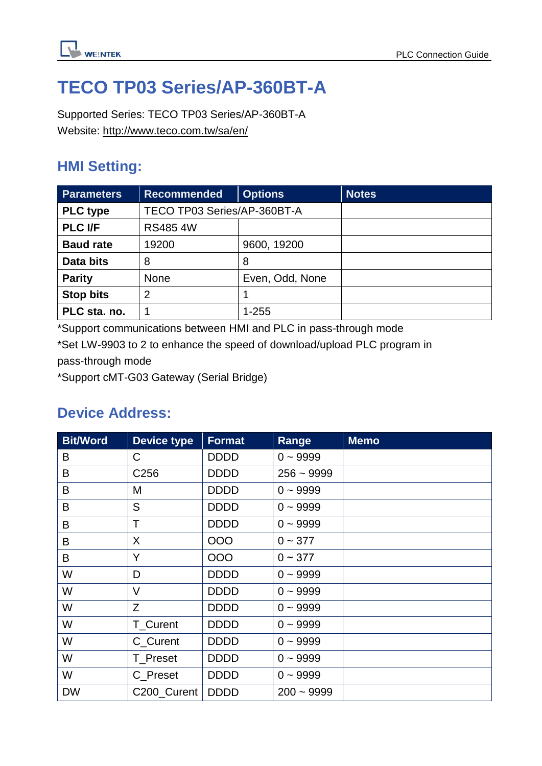

# **TECO TP03 Series/AP-360BT-A**

Supported Series: TECO TP03 Series/AP-360BT-A Website:<http://www.teco.com.tw/sa/en/>

# **HMI Setting:**

| <b>Parameters</b> | <b>Recommended</b>          | <b>Options</b>  | <b>Notes</b> |
|-------------------|-----------------------------|-----------------|--------------|
| <b>PLC type</b>   | TECO TP03 Series/AP-360BT-A |                 |              |
| <b>PLC I/F</b>    | <b>RS485 4W</b>             |                 |              |
| <b>Baud rate</b>  | 19200                       | 9600, 19200     |              |
| Data bits         | 8                           | 8               |              |
| <b>Parity</b>     | <b>None</b>                 | Even, Odd, None |              |
| <b>Stop bits</b>  | 2                           |                 |              |
| PLC sta. no.      |                             | $1 - 255$       |              |

\*Support communications between HMI and PLC in pass-through mode

\*Set LW-9903 to 2 to enhance the speed of download/upload PLC program in pass-through mode

\*Support cMT-G03 Gateway (Serial Bridge)

# **Device Address:**

| <b>Bit/Word</b> | <b>Device type</b> | <b>Format</b> | Range        | <b>Memo</b> |
|-----------------|--------------------|---------------|--------------|-------------|
| B               | C                  | <b>DDDD</b>   | $0 - 9999$   |             |
| B               | C <sub>256</sub>   | <b>DDDD</b>   | $256 - 9999$ |             |
| B               | M                  | <b>DDDD</b>   | $0 - 9999$   |             |
| B               | S                  | <b>DDDD</b>   | $0 - 9999$   |             |
| B               | T                  | <b>DDDD</b>   | $0 - 9999$   |             |
| B               | X                  | 000           | $0 - 377$    |             |
| B               | Y                  | 000           | $0 \sim 377$ |             |
| W               | D                  | <b>DDDD</b>   | $0 - 9999$   |             |
| W               | $\vee$             | <b>DDDD</b>   | $0 - 9999$   |             |
| W               | Z                  | <b>DDDD</b>   | $0 - 9999$   |             |
| W               | T_Curent           | <b>DDDD</b>   | $0 - 9999$   |             |
| W               | C_Curent           | <b>DDDD</b>   | $0 - 9999$   |             |
| W               | T Preset           | <b>DDDD</b>   | $0 - 9999$   |             |
| W               | C_Preset           | <b>DDDD</b>   | $0 - 9999$   |             |
| <b>DW</b>       | C200_Curent        | <b>DDDD</b>   | $200 - 9999$ |             |